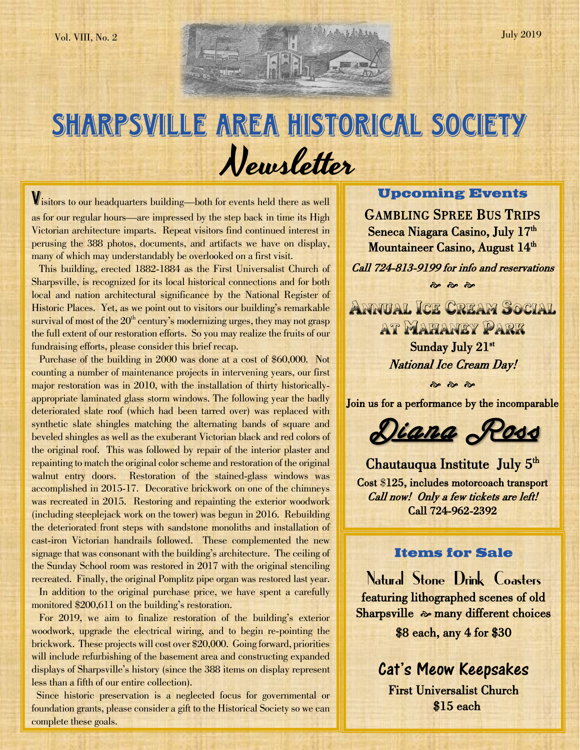# SHARPSVILLE AREA HISTORICAL SOCIETY Newsletter

Visitors to our headquarters building—both for events held there as well as for our regular hours—are impressed by the step back in time its High Victorian architecture imparts. Repeat visitors find continued interest in perusing the 388 photos, documents, and artifacts we have on display, many of which may understandably be overlooked on a first visit.

 This building, erected 1882-1884 as the First Universalist Church of Sharpsville, is recognized for its local historical connections and for both local and nation architectural significance by the National Register of Historic Places. Yet, as we point out to visitors our building's remarkable survival of most of the  $20<sup>th</sup>$  century's modernizing urges, they may not grasp the full extent of our restoration efforts. So you may realize the fruits of our fundraising efforts, please consider this brief recap.

 Purchase of the building in 2000 was done at a cost of \$60,000. Not counting a number of maintenance projects in intervening years, our first major restoration was in 2010, with the installation of thirty historicallyappropriate laminated glass storm windows. The following year the badly deteriorated slate roof (which had been tarred over) was replaced with synthetic slate shingles matching the alternating bands of square and beveled shingles as well as the exuberant Victorian black and red colors of the original roof. This was followed by repair of the interior plaster and repainting to match the original color scheme and restoration of the original walnut entry doors. Restoration of the stained-glass windows was accomplished in 2015-17. Decorative brickwork on one of the chimneys was recreated in 2015. Restoring and repainting the exterior woodwork (including steeplejack work on the tower) was begun in 2016. Rebuilding the deteriorated front steps with sandstone monoliths and installation of cast-iron Victorian handrails followed. These complemented the new signage that was consonant with the building's architecture. The ceiling of the Sunday School room was restored in 2017 with the original stenciling recreated. Finally, the original Pomplitz pipe organ was restored last year.

In addition to the original purchase price, we have spent a carefully monitored \$200,611 on the building's restoration.

 For 2019, we aim to finalize restoration of the building's exterior woodwork, upgrade the electrical wiring, and to begin re-pointing the brickwork. These projects will cost over \$20,000. Going forward, priorities will include refurbishing of the basement area and constructing expanded displays of Sharpsville's history (since the 388 items on display represent less than a fifth of our entire collection).

 Since historic preservation is a neglected focus for governmental or foundation grants, please consider a gift to the Historical Society so we can complete these goals.

## **Upcoming Events**

GAMBLING SPREE BUS TRIPS Seneca Niagara Casino, July 17<sup>th</sup> Mountaineer Casino, August 14<sup>th</sup>

Call 724-813-9199 for info and reservations  $\frac{1}{2}$   $\frac{1}{2}$   $\frac{1}{2}$ 

ANNUAL ICE CREAM SOCIAL AT MAHANEY PARK Sunday July 21st National Ice Cream Day!

 $\frac{1}{2}$   $\frac{1}{2}$   $\frac{1}{2}$ 

Join us for a performance by the incomparable

Diana Ross

Chautauqua Institute July 5<sup>th</sup> Cost \$125, includes motorcoach transport Call now! Only a few tickets are left! Call 724-962-2392

## **Items for Sale**

Natural Stone Drink Coasters featuring lithographed scenes of old Sharpsville  $\sim$  many different choices

\$8 each, any 4 for \$30

Cat's Meow Keepsakes First Universalist Church \$15 each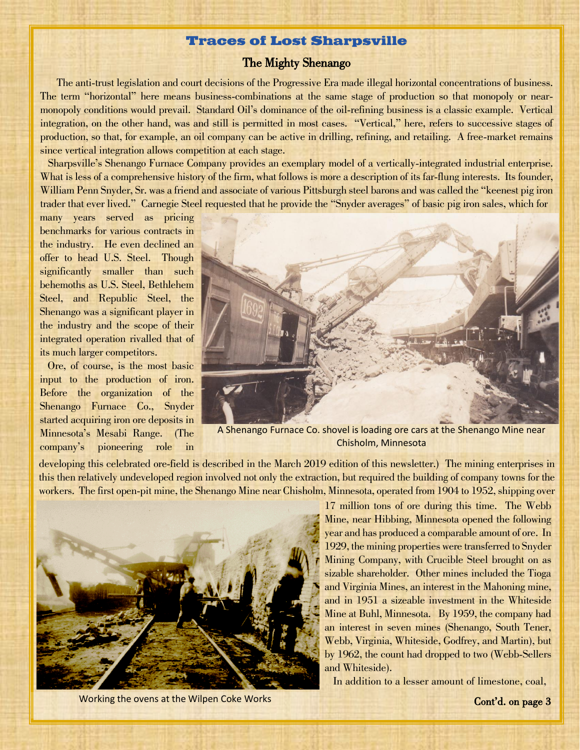## **Traces of Lost Sharpsville**

#### The Mighty Shenango

 The anti-trust legislation and court decisions of the Progressive Era made illegal horizontal concentrations of business. The term "horizontal" here means business-combinations at the same stage of production so that monopoly or nearmonopoly conditions would prevail. Standard Oil's dominance of the oil-refining business is a classic example. Vertical integration, on the other hand, was and still is permitted in most cases. "Vertical," here, refers to successive stages of production, so that, for example, an oil company can be active in drilling, refining, and retailing. A free-market remains since vertical integration allows competition at each stage.

 Sharpsville's Shenango Furnace Company provides an exemplary model of a vertically-integrated industrial enterprise. What is less of a comprehensive history of the firm, what follows is more a description of its far-flung interests. Its founder, William Penn Snyder, Sr. was a friend and associate of various Pittsburgh steel barons and was called the "keenest pig iron trader that ever lived." Carnegie Steel requested that he provide the "Snyder averages" of basic pig iron sales, which for

 many years served as pricing benchmarks for various contracts in the industry. He even declined an offer to head U.S. Steel. Though significantly smaller than such behemoths as U.S. Steel, Bethlehem Steel, and Republic Steel, the Shenango was a significant player in the industry and the scope of their integrated operation rivalled that of its much larger competitors.

 Ore, of course, is the most basic input to the production of iron. Before the organization of the Shenango Furnace Co., Snyder started acquiring iron ore deposits in Minnesota's Mesabi Range. (The company's pioneering role in



A Shenango Furnace Co. shovel is loading ore cars at the Shenango Mine near Chisholm, Minnesota

developing this celebrated ore-field is described in the March 2019 edition of this newsletter.) The mining enterprises in this then relatively undeveloped region involved not only the extraction, but required the building of company towns for the workers. The first open-pit mine, the Shenango Mine near Chisholm, Minnesota, operated from 1904 to 1952, shipping over



Working the ovens at the Wilpen Coke Works **Context Context Context** Context Context Context Context Context Context Context Context Context Context Context Context Context Context Context Context Context Context Context C

17 million tons of ore during this time. The Webb Mine, near Hibbing, Minnesota opened the following year and has produced a comparable amount of ore. In 1929, the mining properties were transferred to Snyder Mining Company, with Crucible Steel brought on as sizable shareholder. Other mines included the Tioga and Virginia Mines, an interest in the Mahoning mine, and in 1951 a sizeable investment in the Whiteside Mine at Buhl, Minnesota. By 1959, the company had an interest in seven mines (Shenango, South Tener, Webb, Virginia, Whiteside, Godfrey, and Martin), but by 1962, the count had dropped to two (Webb-Sellers and Whiteside).

In addition to a lesser amount of limestone, coal,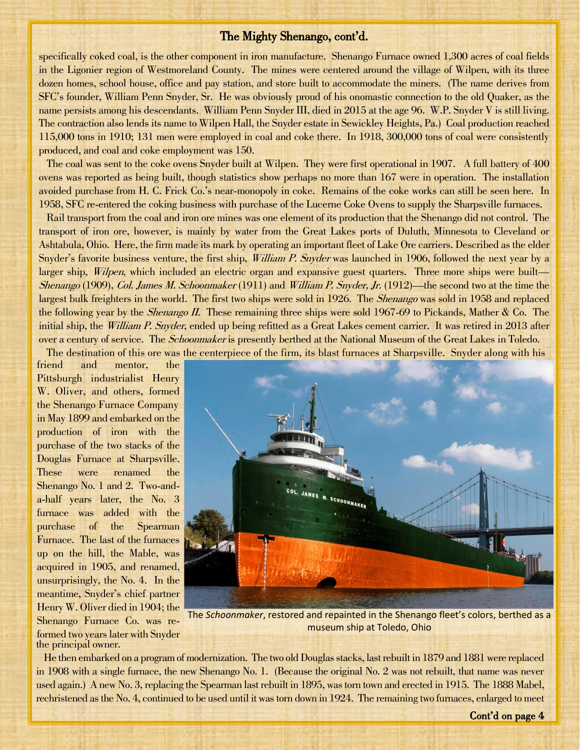#### The Mighty Shenango, cont'd.

specifically coked coal, is the other component in iron manufacture. Shenango Furnace owned 1,300 acres of coal fields in the Ligonier region of Westmoreland County. The mines were centered around the village of Wilpen, with its three dozen homes, school house, office and pay station, and store built to accommodate the miners. (The name derives from SFC's founder, William Penn Snyder, Sr. He was obviously proud of his onomastic connection to the old Quaker, as the name persists among his descendants. William Penn Snyder III, died in 2015 at the age 96. W.P. Snyder V is still living. The contraction also lends its name to Wilpen Hall, the Snyder estate in Sewickley Heights, Pa.) Coal production reached 115,000 tons in 1910; 131 men were employed in coal and coke there. In 1918, 300,000 tons of coal were consistently produced, and coal and coke employment was 150.

 The coal was sent to the coke ovens Snyder built at Wilpen. They were first operational in 1907. A full battery of 400 ovens was reported as being built, though statistics show perhaps no more than 167 were in operation. The installation avoided purchase from H. C. Frick Co.'s near-monopoly in coke. Remains of the coke works can still be seen here. In 1958, SFC re-entered the coking business with purchase of the Lucerne Coke Ovens to supply the Sharpsville furnaces.

 Rail transport from the coal and iron ore mines was one element of its production that the Shenango did not control. The transport of iron ore, however, is mainly by water from the Great Lakes ports of Duluth, Minnesota to Cleveland or Ashtabula, Ohio. Here, the firm made its mark by operating an important fleet of Lake Ore carriers. Described as the elder Snyder's favorite business venture, the first ship, *William P. Snyder* was launched in 1906, followed the next year by a larger ship, *Wilpen*, which included an electric organ and expansive guest quarters. Three more ships were built— Shenango (1909), Col. James M. Schoonmaker (1911) and William P. Snyder, Jr. (1912)—the second two at the time the largest bulk freighters in the world. The first two ships were sold in 1926. The *Shenango* was sold in 1958 and replaced the following year by the *Shenango II*. These remaining three ships were sold 1967-69 to Pickands, Mather & Co. The initial ship, the *William P. Snyder*, ended up being refitted as a Great Lakes cement carrier. It was retired in 2013 after over a century of service. The *Schoonmaker* is presently berthed at the National Museum of the Great Lakes in Toledo.

The destination of this ore was the centerpiece of the firm, its blast furnaces at Sharpsville. Snyder along with his

friend and mentor, the Pittsburgh industrialist Henry W. Oliver, and others, formed the Shenango Furnace Company in May 1899 and embarked on the production of iron with the purchase of the two stacks of the Douglas Furnace at Sharpsville. These were renamed the Shenango No. 1 and 2. Two-anda-half years later, the No. 3 furnace was added with the purchase of the Spearman Furnace. The last of the furnaces up on the hill, the Mable, was acquired in 1905, and renamed, unsurprisingly, the No. 4. In the meantime, Snyder's chief partner Henry W. Oliver died in 1904; the Shenango Furnace Co. was reformed two years later with Snyder the principal owner.



The *Schoonmaker*, restored and repainted in the Shenango fleet's colors, berthed as a museum ship at Toledo, Ohio

 He then embarked on a program of modernization. The two old Douglas stacks, last rebuilt in 1879 and 1881 were replaced in 1908 with a single furnace, the new Shenango No. 1. (Because the original No. 2 was not rebuilt, that name was never used again.) A new No. 3, replacing the Spearman last rebuilt in 1895, was torn town and erected in 1915. The 1888 Mabel, rechristened as the No. 4, continued to be used until it was torn down in 1924. The remaining two furnaces, enlarged to meet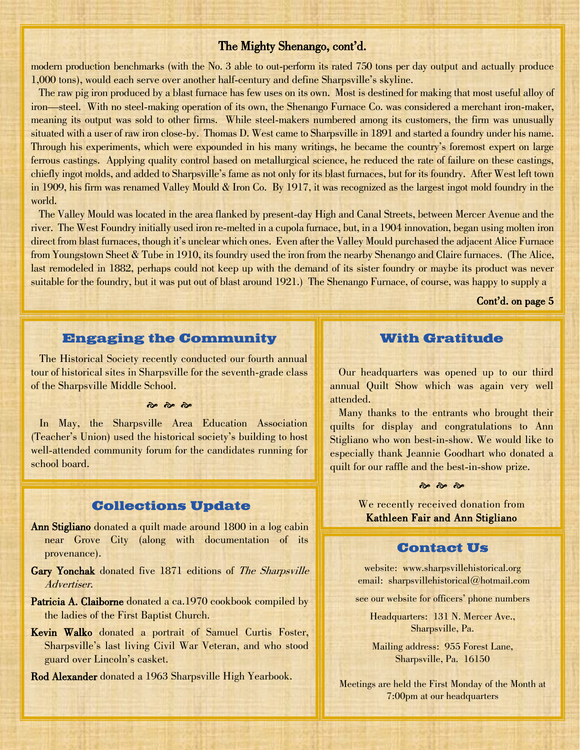## The Mighty Shenango, cont'd.

modern production benchmarks (with the No. 3 able to out-perform its rated 750 tons per day output and actually produce 1,000 tons), would each serve over another half-century and define Sharpsville's skyline.

The raw pig iron produced by a blast furnace has few uses on its own. Most is destined for making that most useful alloy of iron—steel. With no steel-making operation of its own, the Shenango Furnace Co. was considered a merchant iron-maker, meaning its output was sold to other firms. While steel-makers numbered among its customers, the firm was unusually situated with a user of raw iron close-by. Thomas D. West came to Sharpsville in 1891 and started a foundry under his name. Through his experiments, which were expounded in his many writings, he became the country's foremost expert on large ferrous castings. Applying quality control based on metallurgical science, he reduced the rate of failure on these castings, chiefly ingot molds, and added to Sharpsville's fame as not only for its blast furnaces, but for its foundry. After West left town in 1909, his firm was renamed Valley Mould & Iron Co. By 1917, it was recognized as the largest ingot mold foundry in the world.

 The Valley Mould was located in the area flanked by present-day High and Canal Streets, between Mercer Avenue and the river. The West Foundry initially used iron re-melted in a cupola furnace, but, in a 1904 innovation, began using molten iron direct from blast furnaces, though it's unclear which ones. Even after the Valley Mould purchased the adjacent Alice Furnace from Youngstown Sheet & Tube in 1910, its foundry used the iron from the nearby Shenango and Claire furnaces. (The Alice, last remodeled in 1882, perhaps could not keep up with the demand of its sister foundry or maybe its product was never suitable for the foundry, but it was put out of blast around 1921.) The Shenango Furnace, of course, was happy to supply a

Cont'd. on page 5

#### **Engaging the Community**

 The Historical Society recently conducted our fourth annual tour of historical sites in Sharpsville for the seventh-grade class of the Sharpsville Middle School.

#### $\frac{1}{3}$   $\frac{1}{3}$   $\frac{1}{3}$

 In May, the Sharpsville Area Education Association (Teacher's Union) used the historical society's building to host well-attended community forum for the candidates running for school board.

## **Collections Update**

- Ann Stigliano donated a quilt made around 1800 in a log cabin near Grove City (along with documentation of its provenance).
- Gary Yonchak donated five 1871 editions of The Sharpsville Advertiser.
- Patricia A. Claiborne donated a ca.1970 cookbook compiled by the ladies of the First Baptist Church.
- Kevin Walko donated a portrait of Samuel Curtis Foster, Sharpsville's last living Civil War Veteran, and who stood guard over Lincoln's casket.

Rod Alexander donated a 1963 Sharpsville High Yearbook.

### **With Gratitude**

 Our headquarters was opened up to our third annual Quilt Show which was again very well attended.

Many thanks to the entrants who brought their quilts for display and congratulations to Ann Stigliano who won best-in-show. We would like to especially thank Jeannie Goodhart who donated a quilt for our raffle and the best-in-show prize.



We recently received donation from Kathleen Fair and Ann Stigliano

#### **Contact Us**

website: www.sharpsvillehistorical.org email: sharpsvillehistorical@hotmail.com

see our website for officers' phone numbers

Headquarters: 131 N. Mercer Ave., Sharpsville, Pa.

Mailing address: 955 Forest Lane, Sharpsville, Pa. 16150

Meetings are held the First Monday of the Month at 7:00pm at our headquarters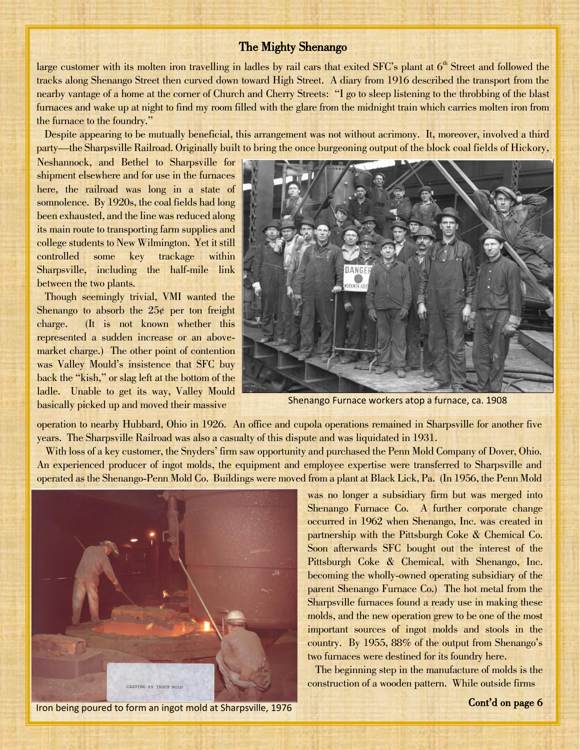### The Mighty Shenango

large customer with its molten iron travelling in ladles by rail cars that exited SFC's plant at  $6<sup>th</sup>$  Street and followed the tracks along Shenango Street then curved down toward High Street. A diary from 1916 described the transport from the nearby vantage of a home at the corner of Church and Cherry Streets: "I go to sleep listening to the throbbing of the blast furnaces and wake up at night to find my room filled with the glare from the midnight train which carries molten iron from the furnace to the foundry."

 Despite appearing to be mutually beneficial, this arrangement was not without acrimony. It, moreover, involved a third party—the Sharpsville Railroad. Originally built to bring the once burgeoning output of the block coal fields of Hickory,

Neshannock, and Bethel to Sharpsville for shipment elsewhere and for use in the furnaces here, the railroad was long in a state of somnolence. By 1920s, the coal fields had long been exhausted, and the line was reduced along its main route to transporting farm supplies and college students to New Wilmington. Yet it still controlled some key trackage within Sharpsville, including the half-mile link between the two plants.

 Though seemingly trivial, VMI wanted the Shenango to absorb the  $25¢$  per ton freight charge. (It is not known whether this represented a sudden increase or an abovemarket charge.) The other point of contention was Valley Mould's insistence that SFC buy back the "kish," or slag left at the bottom of the ladle. Unable to get its way, Valley Mould basically picked up and moved their massive



Shenango Furnace workers atop a furnace, ca. 1908

operation to nearby Hubbard, Ohio in 1926. An office and cupola operations remained in Sharpsville for another five years. The Sharpsville Railroad was also a casualty of this dispute and was liquidated in 1931.

 With loss of a key customer, the Snyders' firm saw opportunity and purchased the Penn Mold Company of Dover, Ohio. An experienced producer of ingot molds, the equipment and employee expertise were transferred to Sharpsville and operated as the Shenango-Penn Mold Co. Buildings were moved from a plant at Black Lick, Pa. (In 1956, the Penn Mold



Iron being poured to form an ingot mold at Sharpsville, 1976

was no longer a subsidiary firm but was merged into Shenango Furnace Co. A further corporate change occurred in 1962 when Shenango, Inc. was created in partnership with the Pittsburgh Coke & Chemical Co. Soon afterwards SFC bought out the interest of the Pittsburgh Coke & Chemical, with Shenango, Inc. becoming the wholly-owned operating subsidiary of the parent Shenango Furnace Co.) The hot metal from the Sharpsville furnaces found a ready use in making these molds, and the new operation grew to be one of the most important sources of ingot molds and stools in the country. By 1955, 88% of the output from Shenango's two furnaces were destined for its foundry here.

 The beginning step in the manufacture of molds is the construction of a wooden pattern. While outside firms